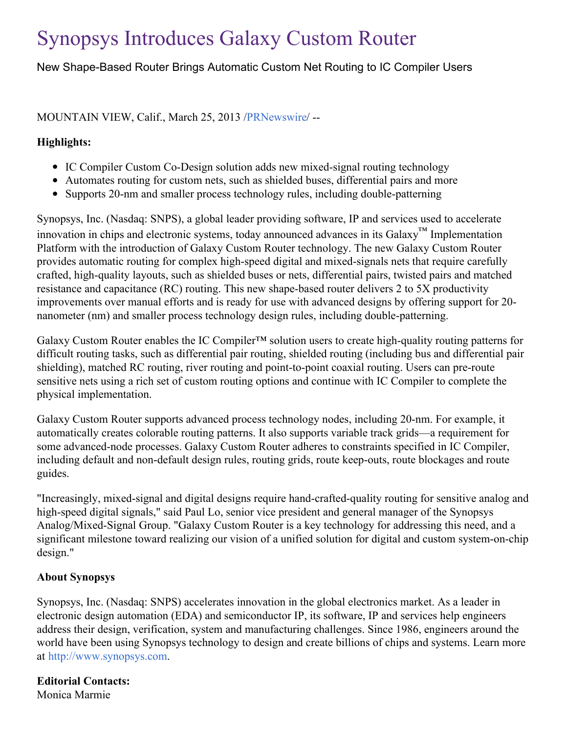# Synopsys Introduces Galaxy Custom Router

New Shape-Based Router Brings Automatic Custom Net Routing to IC Compiler Users

# MOUNTAIN VIEW, Calif., March 25, 2013 [/PRNewswire](http://www.prnewswire.com/)/ --

#### **Highlights:**

- IC Compiler Custom Co-Design solution adds new mixed-signal routing technology
- Automates routing for custom nets, such as shielded buses, differential pairs and more
- Supports 20-nm and smaller process technology rules, including double-patterning

Synopsys, Inc. (Nasdaq: SNPS), a global leader providing software, IP and services used to accelerate innovation in chips and electronic systems, today announced advances in its Galaxy™ Implementation Platform with the introduction of Galaxy Custom Router technology. The new Galaxy Custom Router provides automatic routing for complex high-speed digital and mixed-signals nets that require carefully crafted, high-quality layouts, such as shielded buses or nets, differential pairs, twisted pairs and matched resistance and capacitance (RC) routing. This new shape-based router delivers 2 to 5X productivity improvements over manual efforts and is ready for use with advanced designs by offering support for 20 nanometer (nm) and smaller process technology design rules, including double-patterning.

Galaxy Custom Router enables the IC Compiler™ solution users to create high-quality routing patterns for difficult routing tasks, such as differential pair routing, shielded routing (including bus and differential pair shielding), matched RC routing, river routing and point-to-point coaxial routing. Users can pre-route sensitive nets using a rich set of custom routing options and continue with IC Compiler to complete the physical implementation.

Galaxy Custom Router supports advanced process technology nodes, including 20-nm. For example, it automatically creates colorable routing patterns. It also supports variable track grids—a requirement for some advanced-node processes. Galaxy Custom Router adheres to constraints specified in IC Compiler, including default and non-default design rules, routing grids, route keep-outs, route blockages and route guides.

"Increasingly, mixed-signal and digital designs require hand-crafted-quality routing for sensitive analog and high-speed digital signals," said Paul Lo, senior vice president and general manager of the Synopsys Analog/Mixed-Signal Group. "Galaxy Custom Router is a key technology for addressing this need, and a significant milestone toward realizing our vision of a unified solution for digital and custom system-on-chip design."

## **About Synopsys**

Synopsys, Inc. (Nasdaq: SNPS) accelerates innovation in the global electronics market. As a leader in electronic design automation (EDA) and semiconductor IP, its software, IP and services help engineers address their design, verification, system and manufacturing challenges. Since 1986, engineers around the world have been using Synopsys technology to design and create billions of chips and systems. Learn more at [http://www.synopsys.com](http://www.synopsys.com/).

## **Editorial Contacts:**

Monica Marmie